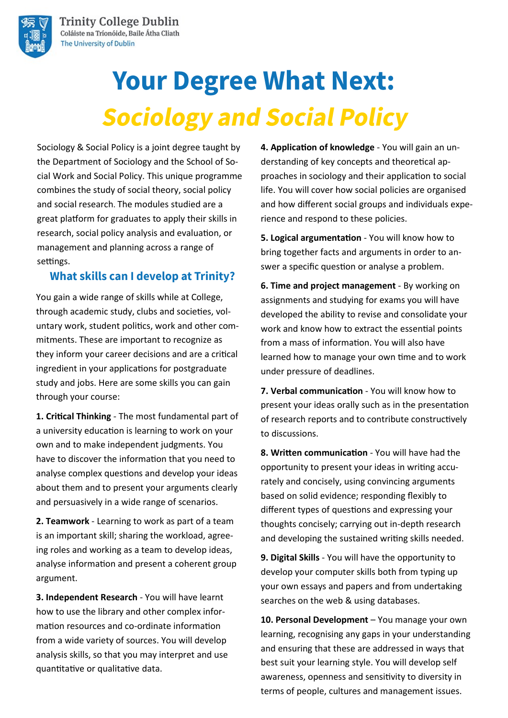

# **Your Degree What Next: Sociology and Social Policy**

Sociology & Social Policy is a joint degree taught by the Department of Sociology and the School of Social Work and Social Policy. This unique programme combines the study of social theory, social policy and social research. The modules studied are a great platform for graduates to apply their skills in research, social policy analysis and evaluation, or management and planning across a range of settings.

### **What skills can I develop at Trinity?**

You gain a wide range of skills while at College, through academic study, clubs and societies, voluntary work, student politics, work and other commitments. These are important to recognize as they inform your career decisions and are a critical ingredient in your applications for postgraduate study and jobs. Here are some skills you can gain through your course:

**1. Critical Thinking** - The most fundamental part of a university education is learning to work on your own and to make independent judgments. You have to discover the information that you need to analyse complex questions and develop your ideas about them and to present your arguments clearly and persuasively in a wide range of scenarios.

**2. Teamwork** - Learning to work as part of a team is an important skill; sharing the workload, agreeing roles and working as a team to develop ideas, analyse information and present a coherent group argument.

**3. Independent Research** - You will have learnt how to use the library and other complex information resources and co-ordinate information from a wide variety of sources. You will develop analysis skills, so that you may interpret and use quantitative or qualitative data.

**4. Application of knowledge** - You will gain an understanding of key concepts and theoretical approaches in sociology and their application to social life. You will cover how social policies are organised and how different social groups and individuals experience and respond to these policies.

**5. Logical argumentation** - You will know how to bring together facts and arguments in order to answer a specific question or analyse a problem.

**6. Time and project management** - By working on assignments and studying for exams you will have developed the ability to revise and consolidate your work and know how to extract the essential points from a mass of information. You will also have learned how to manage your own time and to work under pressure of deadlines.

**7. Verbal communication** - You will know how to present your ideas orally such as in the presentation of research reports and to contribute constructively to discussions.

**8. Written communication** - You will have had the opportunity to present your ideas in writing accurately and concisely, using convincing arguments based on solid evidence; responding flexibly to different types of questions and expressing your thoughts concisely; carrying out in-depth research and developing the sustained writing skills needed.

**9. Digital Skills** - You will have the opportunity to develop your computer skills both from typing up your own essays and papers and from undertaking searches on the web & using databases.

10. Personal Development - You manage your own learning, recognising any gaps in your understanding and ensuring that these are addressed in ways that best suit your learning style. You will develop self awareness, openness and sensitivity to diversity in terms of people, cultures and management issues.